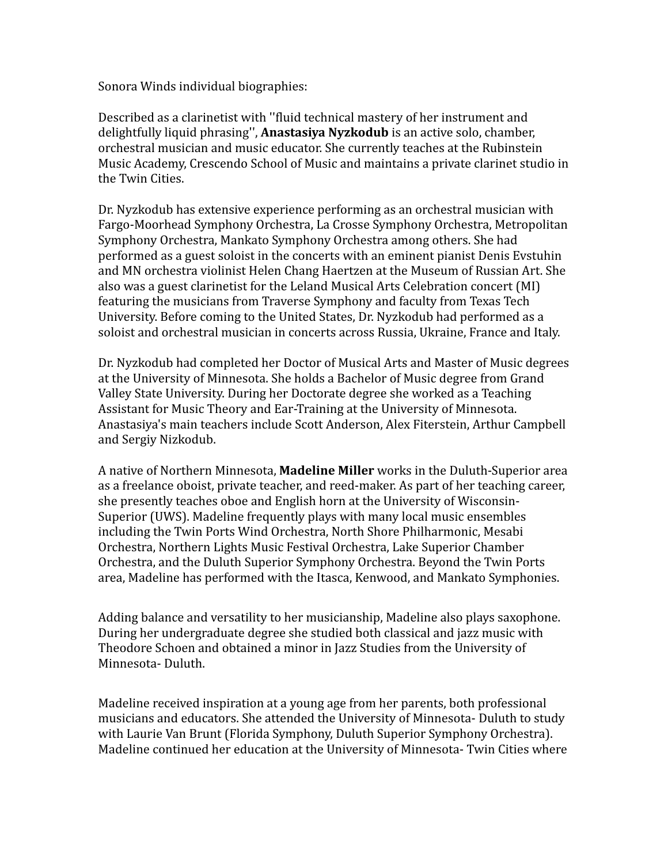Sonora Winds individual biographies:

Described as a clarinetist with ''fluid technical mastery of her instrument and delightfully liquid phrasing'', **Anastasiya Nyzkodub** is an active solo, chamber, orchestral musician and music educator. She currently teaches at the Rubinstein Music Academy, Crescendo School of Music and maintains a private clarinet studio in the Twin Cities.

Dr. Nyzkodub has extensive experience performing as an orchestral musician with Fargo-Moorhead Symphony Orchestra, La Crosse Symphony Orchestra, Metropolitan Symphony Orchestra, Mankato Symphony Orchestra among others. She had performed as a guest soloist in the concerts with an eminent pianist Denis Evstuhin and MN orchestra violinist Helen Chang Haertzen at the Museum of Russian Art. She also was a guest clarinetist for the Leland Musical Arts Celebration concert (MI) featuring the musicians from Traverse Symphony and faculty from Texas Tech University. Before coming to the United States, Dr. Nyzkodub had performed as a soloist and orchestral musician in concerts across Russia, Ukraine, France and Italy.

Dr. Nyzkodub had completed her Doctor of Musical Arts and Master of Music degrees at the University of Minnesota. She holds a Bachelor of Music degree from Grand Valley State University. During her Doctorate degree she worked as a Teaching Assistant for Music Theory and Ear-Training at the University of Minnesota. Anastasiya's main teachers include Scott Anderson, Alex Fiterstein, Arthur Campbell and Sergiy Nizkodub.

A native of Northern Minnesota, **Madeline Miller** works in the Duluth-Superior area as a freelance oboist, private teacher, and reed-maker. As part of her teaching career, she presently teaches oboe and English horn at the University of Wisconsin-Superior (UWS). Madeline frequently plays with many local music ensembles including the Twin Ports Wind Orchestra, North Shore Philharmonic, Mesabi Orchestra, Northern Lights Music Festival Orchestra, Lake Superior Chamber Orchestra, and the Duluth Superior Symphony Orchestra. Beyond the Twin Ports area, Madeline has performed with the Itasca, Kenwood, and Mankato Symphonies.

Adding balance and versatility to her musicianship, Madeline also plays saxophone. During her undergraduate degree she studied both classical and jazz music with Theodore Schoen and obtained a minor in Jazz Studies from the University of Minnesota- Duluth.

Madeline received inspiration at a young age from her parents, both professional musicians and educators. She attended the University of Minnesota- Duluth to study with Laurie Van Brunt (Florida Symphony, Duluth Superior Symphony Orchestra). Madeline continued her education at the University of Minnesota- Twin Cities where